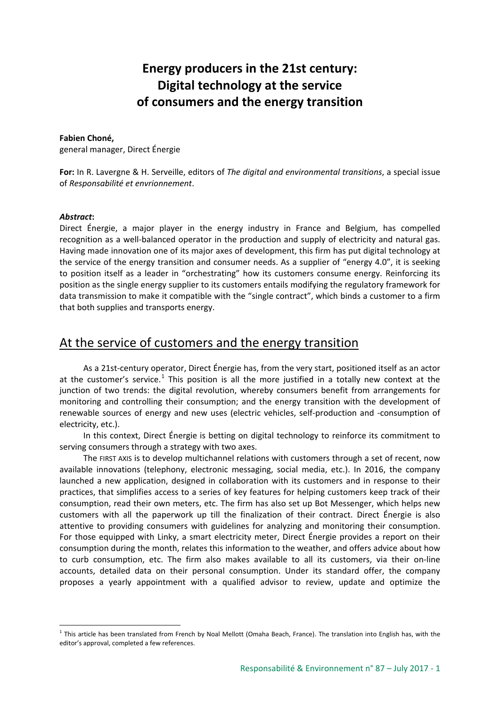# **Energy producers in the 21st century: Digital technology at the service of consumers and the energy transition**

#### **Fabien Choné,**

general manager, Direct Énergie

**For:** In R. Lavergne & H. Serveille, editors of *The digital and environmental transitions*, a special issue of *Responsabilité et envrionnement*.

#### *Abstract***:**

Direct Énergie, a major player in the energy industry in France and Belgium, has compelled recognition as a well-balanced operator in the production and supply of electricity and natural gas. Having made innovation one of its major axes of development, this firm has put digital technology at the service of the energy transition and consumer needs. As a supplier of "energy 4.0", it is seeking to position itself as a leader in "orchestrating" how its customers consume energy. Reinforcing its position as the single energy supplier to its customers entails modifying the regulatory framework for data transmission to make it compatible with the "single contract", which binds a customer to a firm that both supplies and transports energy.

### At the service of customers and the energy transition

As a 21st-century operator, Direct Énergie has, from the very start, positioned itself as an actor at the customer's service.<sup>[1](#page-0-0)</sup> This position is all the more justified in a totally new context at the junction of two trends: the digital revolution, whereby consumers benefit from arrangements for monitoring and controlling their consumption; and the energy transition with the development of renewable sources of energy and new uses (electric vehicles, self-production and -consumption of electricity, etc.).

In this context, Direct Énergie is betting on digital technology to reinforce its commitment to serving consumers through a strategy with two axes.

The FIRST AXIS is to develop multichannel relations with customers through a set of recent, now available innovations (telephony, electronic messaging, social media, etc.). In 2016, the company launched a new application, designed in collaboration with its customers and in response to their practices, that simplifies access to a series of key features for helping customers keep track of their consumption, read their own meters, etc. The firm has also set up Bot Messenger, which helps new customers with all the paperwork up till the finalization of their contract. Direct Énergie is also attentive to providing consumers with guidelines for analyzing and monitoring their consumption. For those equipped with Linky, a smart electricity meter, Direct Énergie provides a report on their consumption during the month, relates this information to the weather, and offers advice about how to curb consumption, etc. The firm also makes available to all its customers, via their on-line accounts, detailed data on their personal consumption. Under its standard offer, the company proposes a yearly appointment with a qualified advisor to review, update and optimize the

<span id="page-0-0"></span> $1$  This article has been translated from French by Noal Mellott (Omaha Beach, France). The translation into English has, with the editor's approval, completed a few references.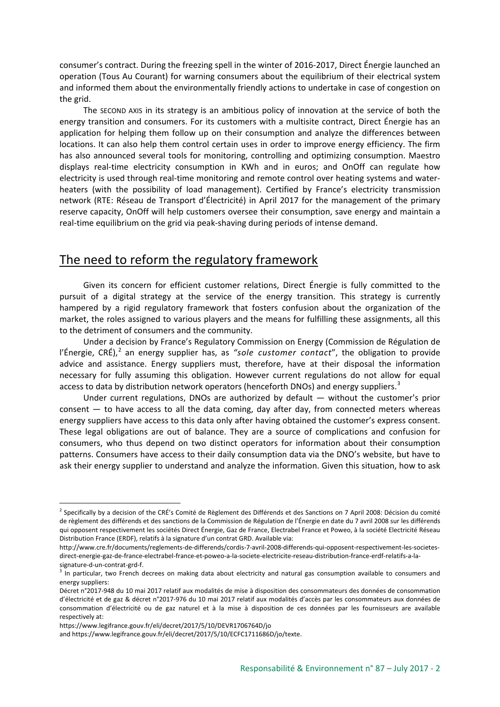consumer's contract. During the freezing spell in the winter of 2016-2017, Direct Énergie launched an operation (Tous Au Courant) for warning consumers about the equilibrium of their electrical system and informed them about the environmentally friendly actions to undertake in case of congestion on the grid.

The SECOND AXIS in its strategy is an ambitious policy of innovation at the service of both the energy transition and consumers. For its customers with a multisite contract, Direct Énergie has an application for helping them follow up on their consumption and analyze the differences between locations. It can also help them control certain uses in order to improve energy efficiency. The firm has also announced several tools for monitoring, controlling and optimizing consumption. Maestro displays real-time electricity consumption in KWh and in euros; and OnOff can regulate how electricity is used through real-time monitoring and remote control over heating systems and waterheaters (with the possibility of load management). Certified by France's electricity transmission network (RTE: Réseau de Transport d'Électricité) in April 2017 for the management of the primary reserve capacity, OnOff will help customers oversee their consumption, save energy and maintain a real-time equilibrium on the grid via peak-shaving during periods of intense demand.

## The need to reform the regulatory framework

Given its concern for efficient customer relations, Direct Énergie is fully committed to the pursuit of a digital strategy at the service of the energy transition. This strategy is currently hampered by a rigid regulatory framework that fosters confusion about the organization of the market, the roles assigned to various players and the means for fulfilling these assignments, all this to the detriment of consumers and the community.

Under a decision by France's Regulatory Commission on Energy (Commission de Régulation de l'Énergie, CRÉ),<sup>[2](#page-1-0)</sup> an energy supplier has, as "sole customer contact", the obligation to provide advice and assistance. Energy suppliers must, therefore, have at their disposal the information necessary for fully assuming this obligation. However current regulations do not allow for equal access to data by distribution network operators (henceforth DNOs) and energy suppliers.<sup>[3](#page-1-1)</sup>

Under current regulations, DNOs are authorized by default — without the customer's prior consent — to have access to all the data coming, day after day, from connected meters whereas energy suppliers have access to this data only after having obtained the customer's express consent. These legal obligations are out of balance. They are a source of complications and confusion for consumers, who thus depend on two distinct operators for information about their consumption patterns. Consumers have access to their daily consumption data via the DNO's website, but have to ask their energy supplier to understand and analyze the information. Given this situation, how to ask

<span id="page-1-0"></span> $2$  Specifically by a decision of the CRÉ's Comité de Règlement des Différends et des Sanctions on 7 April 2008: Décision du comité de règlement des différends et des sanctions de la Commission de Régulation de l'Énergie en date du 7 avril 2008 sur les différends qui opposent respectivement les sociétés Direct Énergie, Gaz de France, Electrabel France et Poweo, à la société Electricité Réseau Distribution France (ERDF), relatifs à la signature d'un contrat GRD. Available via:

http://www.cre.fr/documents/reglements-de-differends/cordis-7-avril-2008-differends-qui-opposent-respectivement-les-societesdirect-energie-gaz-de-france-electrabel-france-et-poweo-a-la-societe-electricite-reseau-distribution-france-erdf-relatifs-a-lasignature-d-un-contrat-grd-f.

<span id="page-1-1"></span><sup>&</sup>lt;sup>3</sup> In particular, two French decrees on making data about electricity and natural gas consumption available to consumers and energy suppliers:

Décret n°2017-948 du 10 mai 2017 relatif aux modalités de mise à disposition des consommateurs des données de consommation d'électricité et de gaz & décret n°2017-976 du 10 mai 2017 relatif aux modalités d'accès par les consommateurs aux données de consommation d'électricité ou de gaz naturel et à la mise à disposition de ces données par les fournisseurs are available respectively at:

https://www.legifrance.gouv.fr/eli/decret/2017/5/10/DEVR1706764D/jo

and https://www.legifrance.gouv.fr/eli/decret/2017/5/10/ECFC1711686D/jo/texte.